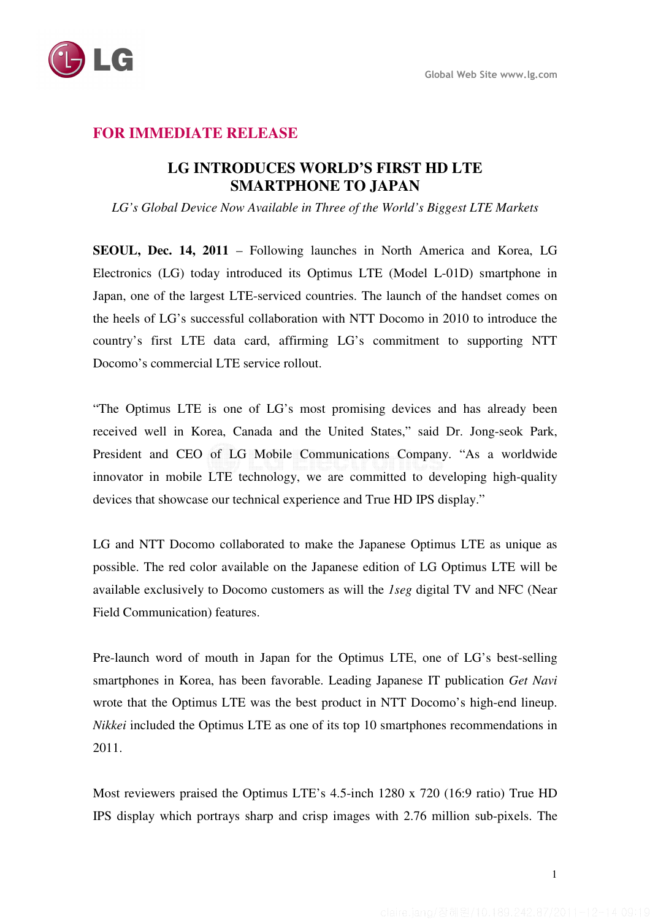

## **FOR IMMEDIATE RELEASE**

## **LG INTRODUCES WORLD'S FIRST HD LTE SMARTPHONE TO JAPAN**

*LG's Global Device Now Available in Three of the World's Biggest LTE Markets* 

**SEOUL, Dec. 14, 2011** – Following launches in North America and Korea, LG Electronics (LG) today introduced its Optimus LTE (Model L-01D) smartphone in Japan, one of the largest LTE-serviced countries. The launch of the handset comes on the heels of LG's successful collaboration with NTT Docomo in 2010 to introduce the country's first LTE data card, affirming LG's commitment to supporting NTT Docomo's commercial LTE service rollout.

"The Optimus LTE is one of LG's most promising devices and has already been received well in Korea, Canada and the United States," said Dr. Jong-seok Park, President and CEO of LG Mobile Communications Company. "As a worldwide innovator in mobile LTE technology, we are committed to developing high-quality devices that showcase our technical experience and True HD IPS display."

LG and NTT Docomo collaborated to make the Japanese Optimus LTE as unique as possible. The red color available on the Japanese edition of LG Optimus LTE will be available exclusively to Docomo customers as will the *1seg* digital TV and NFC (Near Field Communication) features.

Pre-launch word of mouth in Japan for the Optimus LTE, one of LG's best-selling smartphones in Korea, has been favorable. Leading Japanese IT publication *Get Navi* wrote that the Optimus LTE was the best product in NTT Docomo's high-end lineup. *Nikkei* included the Optimus LTE as one of its top 10 smartphones recommendations in 2011.

Most reviewers praised the Optimus LTE's 4.5-inch 1280 x 720 (16:9 ratio) True HD IPS display which portrays sharp and crisp images with 2.76 million sub-pixels. The